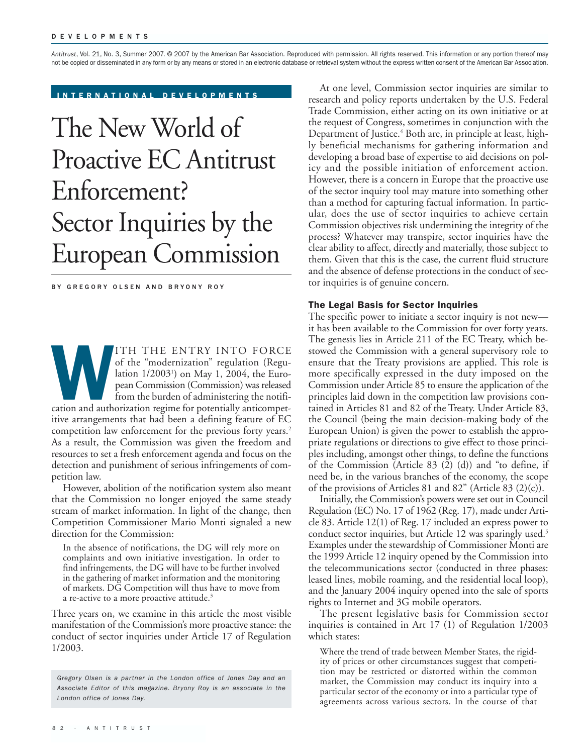*Antitrust*, Vol. 21, No. 3, Summer 2007. © 2007 by the American Bar Association. Reproduced with permission. All rights reserved. This information or any portion thereof may not be copied or disseminated in any form or by any means or stored in an electronic database or retrieval system without the express written consent of the American Bar Association.

INTERNATIONAL DEVELOPMENTS

# The New World of Proactive EC Antitrust Enforcement? Sector Inquiries by the European Commission

BY GREGORY OLSEN AND BRYONY ROY

ITH THE ENTRY INTO FORCE<br>
of the "modernization" regulation (Regulation 1/2003<sup>1</sup>) on May 1, 2004, the Euro-<br>
pean Commission (Commission) was released<br>
from the burden of administering the notifi-<br>
cation and authorizatio of the "modernization" regulation (Regulation 1/20031 ) on May 1, 2004, the European Commission (Commission) was released from the burden of administering the notifiitive arrangements that had been a defining feature of EC competition law enforcement for the previous forty years.<sup>2</sup> As a result, the Commission was given the freedom and resources to set a fresh enforcement agenda and focus on the detection and punishment of serious infringements of competition law.

However, abolition of the notification system also meant that the Commission no longer enjoyed the same steady stream of market information. In light of the change, then Competition Commissioner Mario Monti signaled a new direction for the Commission:

In the absence of notifications, the DG will rely more on complaints and own initiative investigation. In order to find infringements, the DG will have to be further involved in the gathering of market information and the monitoring of markets. DG Competition will thus have to move from a re-active to a more proactive attitude.<sup>3</sup>

Three years on, we examine in this article the most visible manifestation of the Commission's more proactive stance: the conduct of sector inquiries under Article 17 of Regulation 1/2003.

At one level, Commission sector inquiries are similar to research and policy reports undertaken by the U.S. Federal Trade Commission, either acting on its own initiative or at the request of Congress, sometimes in conjunction with the Department of Justice.<sup>4</sup> Both are, in principle at least, highly beneficial mechanisms for gathering information and developing a broad base of expertise to aid decisions on policy and the possible initiation of enforcement action. However, there is a concern in Europe that the proactive use of the sector inquiry tool may mature into something other than a method for capturing factual information. In particular, does the use of sector inquiries to achieve certain Commission objectives risk undermining the integrity of the process? Whatever may transpire, sector inquiries have the clear ability to affect, directly and materially, those subject to them. Given that this is the case, the current fluid structure and the absence of defense protections in the conduct of sector inquiries is of genuine concern.

### The Legal Basis for Sector Inquiries

The specific power to initiate a sector inquiry is not new it has been available to the Commission for over forty years. The genesis lies in Article 211 of the EC Treaty, which bestowed the Commission with a general supervisory role to ensure that the Treaty provisions are applied. This role is more specifically expressed in the duty imposed on the Commission under Article 85 to ensure the application of the principles laid down in the competition law provisions contained in Articles 81 and 82 of the Treaty. Under Article 83, the Council (being the main decision-making body of the European Union) is given the power to establish the appropriate regulations or directions to give effect to those principles including, amongst other things, to define the functions of the Commission (Article 83 (2) (d)) and "to define, if need be, in the various branches of the economy, the scope of the provisions of Articles 81 and 82" (Article 83  $(2)(c)$ ).

Initially, the Commission's powers were set out in Council Regulation (EC) No. 17 of 1962 (Reg. 17), made under Article 83. Article 12(1) of Reg. 17 included an express power to conduct sector inquiries, but Article 12 was sparingly used.<sup>5</sup> Examples under the stewardship of Commissioner Monti are the 1999 Article 12 inquiry opened by the Commission into the telecommunications sector (conducted in three phases: leased lines, mobile roaming, and the residential local loop), and the January 2004 inquiry opened into the sale of sports rights to Internet and 3G mobile operators.

The present legislative basis for Commission sector inquiries is contained in Art 17 (1) of Regulation 1/2003 which states:

Where the trend of trade between Member States, the rigidity of prices or other circumstances suggest that competition may be restricted or distorted within the common market, the Commission may conduct its inquiry into a particular sector of the economy or into a particular type of agreements across various sectors. In the course of that

*Gregory Olsen is a partner in the London office of Jones Day and an Associate Editor of this magazine. Bryony Roy is an associate in the London office of Jones Day.*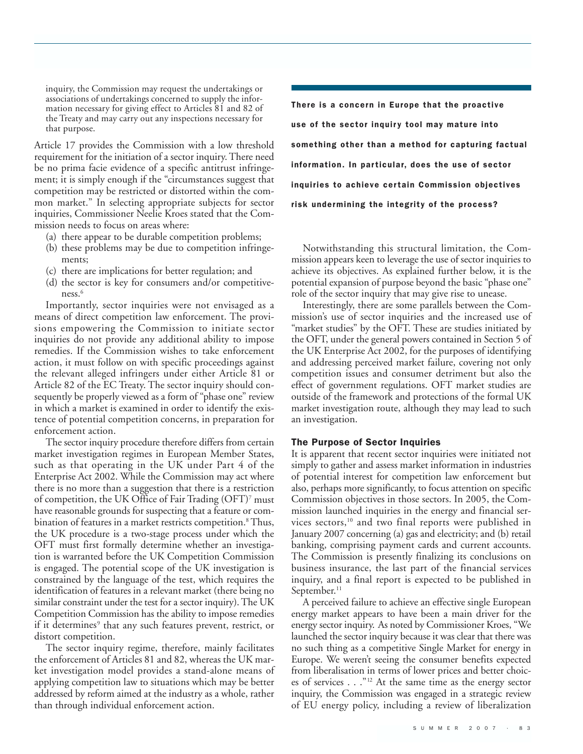inquiry, the Commission may request the undertakings or associations of undertakings concerned to supply the information necessary for giving effect to Articles 81 and 82 of the Treaty and may carry out any inspections necessary for that purpose.

Article 17 provides the Commission with a low threshold requirement for the initiation of a sector inquiry. There need be no prima facie evidence of a specific antitrust infringement; it is simply enough if the "circumstances suggest that competition may be restricted or distorted within the common market." In selecting appropriate subjects for sector inquiries, Commissioner Neelie Kroes stated that the Commission needs to focus on areas where:

- (a) there appear to be durable competition problems;
- (b) these problems may be due to competition infringements;
- (c) there are implications for better regulation; and
- (d) the sector is key for consumers and/or competitiveness.<sup>6</sup>

Importantly, sector inquiries were not envisaged as a means of direct competition law enforcement. The provisions empowering the Commission to initiate sector inquiries do not provide any additional ability to impose remedies. If the Commission wishes to take enforcement action, it must follow on with specific proceedings against the relevant alleged infringers under either Article 81 or Article 82 of the EC Treaty. The sector inquiry should consequently be properly viewed as a form of "phase one" review in which a market is examined in order to identify the existence of potential competition concerns, in preparation for enforcement action.

The sector inquiry procedure therefore differs from certain market investigation regimes in European Member States, such as that operating in the UK under Part 4 of the Enterprise Act 2002. While the Commission may act where there is no more than a suggestion that there is a restriction of competition, the UK Office of Fair Trading (OFT)7 must have reasonable grounds for suspecting that a feature or combination of features in a market restricts competition.<sup>8</sup> Thus, the UK procedure is a two-stage process under which the OFT must first formally determine whether an investigation is warranted before the UK Competition Commission is engaged. The potential scope of the UK investigation is constrained by the language of the test, which requires the identification of features in a relevant market (there being no similar constraint under the test for a sector inquiry). The UK Competition Commission has the ability to impose remedies if it determines<sup>9</sup> that any such features prevent, restrict, or distort competition.

The sector inquiry regime, therefore, mainly facilitates the enforcement of Articles 81 and 82, whereas the UK market investigation model provides a stand-alone means of applying competition law to situations which may be better addressed by reform aimed at the industry as a whole, rather than through individual enforcement action.

There is a concern in Europe that the proactive use of the sector inquiry tool may mature into something other than a method for capturing factual information. In particular, does the use of sector inquiries to achieve certain Commission objectives risk undermining the integrity of the process?

Notwithstanding this structural limitation, the Commission appears keen to leverage the use of sector inquiries to achieve its objectives. As explained further below, it is the potential expansion of purpose beyond the basic "phase one" role of the sector inquiry that may give rise to unease.

Interestingly, there are some parallels between the Commission's use of sector inquiries and the increased use of "market studies" by the OFT. These are studies initiated by the OFT, under the general powers contained in Section 5 of the UK Enterprise Act 2002, for the purposes of identifying and addressing perceived market failure, covering not only competition issues and consumer detriment but also the effect of government regulations. OFT market studies are outside of the framework and protections of the formal UK market investigation route, although they may lead to such an investigation.

### The Purpose of Sector Inquiries

It is apparent that recent sector inquiries were initiated not simply to gather and assess market information in industries of potential interest for competition law enforcement but also, perhaps more significantly, to focus attention on specific Commission objectives in those sectors. In 2005, the Commission launched inquiries in the energy and financial services sectors,<sup>10</sup> and two final reports were published in January 2007 concerning (a) gas and electricity; and (b) retail banking, comprising payment cards and current accounts. The Commission is presently finalizing its conclusions on business insurance, the last part of the financial services inquiry, and a final report is expected to be published in September.<sup>11</sup>

A perceived failure to achieve an effective single European energy market appears to have been a main driver for the energy sector inquiry. As noted by Commissioner Kroes, "We launched the sector inquiry because it was clear that there was no such thing as a competitive Single Market for energy in Europe. We weren't seeing the consumer benefits expected from liberalisation in terms of lower prices and better choices of services . . ."12 At the same time as the energy sector inquiry, the Commission was engaged in a strategic review of EU energy policy, including a review of liberalization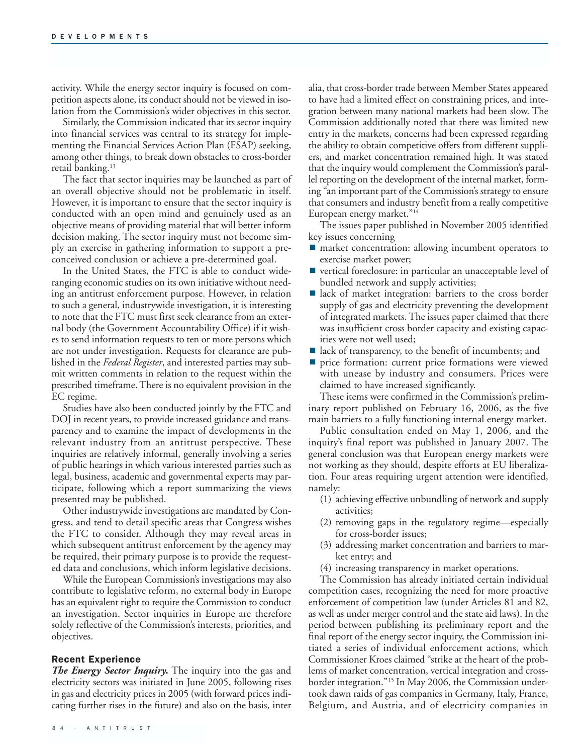activity. While the energy sector inquiry is focused on competition aspects alone, its conduct should not be viewed in isolation from the Commission's wider objectives in this sector.

Similarly, the Commission indicated that its sector inquiry into financial services was central to its strategy for implementing the Financial Services Action Plan (FSAP) seeking, among other things, to break down obstacles to cross-border retail banking.<sup>13</sup>

The fact that sector inquiries may be launched as part of an overall objective should not be problematic in itself. However, it is important to ensure that the sector inquiry is conducted with an open mind and genuinely used as an objective means of providing material that will better inform decision making. The sector inquiry must not become simply an exercise in gathering information to support a preconceived conclusion or achieve a pre-determined goal.

In the United States, the FTC is able to conduct wideranging economic studies on its own initiative without needing an antitrust enforcement purpose. However, in relation to such a general, industrywide investigation, it is interesting to note that the FTC must first seek clearance from an external body (the Government Accountability Office) if it wishes to send information requests to ten or more persons which are not under investigation. Requests for clearance are published in the *Federal Register*, and interested parties may submit written comments in relation to the request within the prescribed timeframe. There is no equivalent provision in the EC regime.

Studies have also been conducted jointly by the FTC and DOJ in recent years, to provide increased guidance and transparency and to examine the impact of developments in the relevant industry from an antitrust perspective. These inquiries are relatively informal, generally involving a series of public hearings in which various interested parties such as legal, business, academic and governmental experts may participate, following which a report summarizing the views presented may be published.

Other industrywide investigations are mandated by Congress, and tend to detail specific areas that Congress wishes the FTC to consider. Although they may reveal areas in which subsequent antitrust enforcement by the agency may be required, their primary purpose is to provide the requested data and conclusions, which inform legislative decisions.

While the European Commission's investigations may also contribute to legislative reform, no external body in Europe has an equivalent right to require the Commission to conduct an investigation. Sector inquiries in Europe are therefore solely reflective of the Commission's interests, priorities, and objectives.

## Recent Experience

*The Energy Sector Inquiry.* The inquiry into the gas and electricity sectors was initiated in June 2005, following rises in gas and electricity prices in 2005 (with forward prices indicating further rises in the future) and also on the basis, inter

alia, that cross-border trade between Member States appeared to have had a limited effect on constraining prices, and integration between many national markets had been slow. The Commission additionally noted that there was limited new entry in the markets, concerns had been expressed regarding the ability to obtain competitive offers from different suppliers, and market concentration remained high. It was stated that the inquiry would complement the Commission's parallel reporting on the development of the internal market, forming "an important part of the Commission's strategy to ensure that consumers and industry benefit from a really competitive European energy market."14

The issues paper published in November 2005 identified key issues concerning

- **narket** concentration: allowing incumbent operators to exercise market power;
- vertical foreclosure: in particular an unacceptable level of bundled network and supply activities;
- lack of market integration: barriers to the cross border supply of gas and electricity preventing the development of integrated markets. The issues paper claimed that there was insufficient cross border capacity and existing capacities were not well used;
- lack of transparency, to the benefit of incumbents; and
- price formation: current price formations were viewed with unease by industry and consumers. Prices were claimed to have increased significantly.

These items were confirmed in the Commission's preliminary report published on February 16, 2006, as the five main barriers to a fully functioning internal energy market.

Public consultation ended on May 1, 2006, and the inquiry's final report was published in January 2007. The general conclusion was that European energy markets were not working as they should, despite efforts at EU liberalization. Four areas requiring urgent attention were identified, namely:

- (1) achieving effective unbundling of network and supply activities;
- (2) removing gaps in the regulatory regime—especially for cross-border issues;
- (3) addressing market concentration and barriers to market entry; and
- (4) increasing transparency in market operations.

The Commission has already initiated certain individual competition cases, recognizing the need for more proactive enforcement of competition law (under Articles 81 and 82, as well as under merger control and the state aid laws). In the period between publishing its preliminary report and the final report of the energy sector inquiry, the Commission initiated a series of individual enforcement actions, which Commissioner Kroes claimed "strike at the heart of the problems of market concentration, vertical integration and crossborder integration."15 In May 2006, the Commission undertook dawn raids of gas companies in Germany, Italy, France, Belgium, and Austria, and of electricity companies in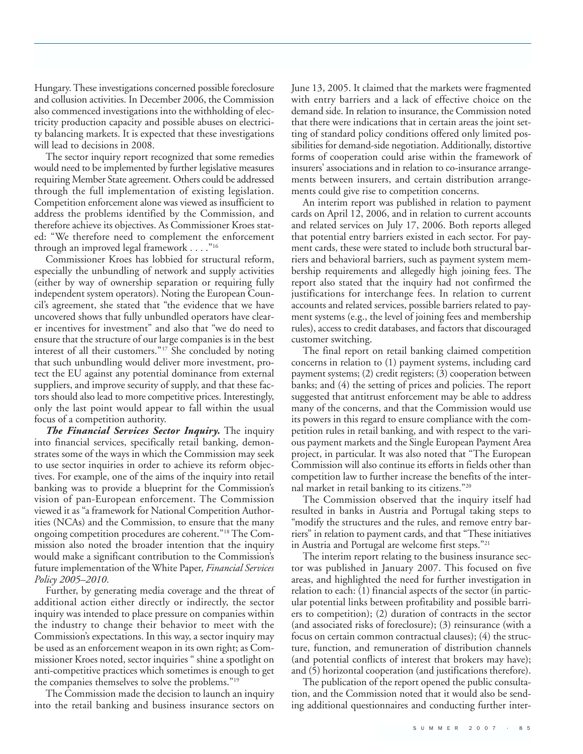Hungary. These investigations concerned possible foreclosure and collusion activities. In December 2006, the Commission also commenced investigations into the withholding of electricity production capacity and possible abuses on electricity balancing markets. It is expected that these investigations will lead to decisions in 2008.

The sector inquiry report recognized that some remedies would need to be implemented by further legislative measures requiring Member State agreement. Others could be addressed through the full implementation of existing legislation. Competition enforcement alone was viewed as insufficient to address the problems identified by the Commission, and therefore achieve its objectives. As Commissioner Kroes stated: "We therefore need to complement the enforcement through an improved legal framework . . . ."16

Commissioner Kroes has lobbied for structural reform, especially the unbundling of network and supply activities (either by way of ownership separation or requiring fully independent system operators). Noting the European Council's agreement, she stated that "the evidence that we have uncovered shows that fully unbundled operators have clearer incentives for investment" and also that "we do need to ensure that the structure of our large companies is in the best interest of all their customers."17 She concluded by noting that such unbundling would deliver more investment, protect the EU against any potential dominance from external suppliers, and improve security of supply, and that these factors should also lead to more competitive prices. Interestingly, only the last point would appear to fall within the usual focus of a competition authority.

*The Financial Services Sector Inquiry.* The inquiry into financial services, specifically retail banking, demonstrates some of the ways in which the Commission may seek to use sector inquiries in order to achieve its reform objectives. For example, one of the aims of the inquiry into retail banking was to provide a blueprint for the Commission's vision of pan-European enforcement. The Commission viewed it as "a framework for National Competition Authorities (NCAs) and the Commission, to ensure that the many ongoing competition procedures are coherent."18 The Commission also noted the broader intention that the inquiry would make a significant contribution to the Commission's future implementation of the White Paper, *Financial Services Policy 2005–2010*.

Further, by generating media coverage and the threat of additional action either directly or indirectly, the sector inquiry was intended to place pressure on companies within the industry to change their behavior to meet with the Commission's expectations. In this way, a sector inquiry may be used as an enforcement weapon in its own right; as Commissioner Kroes noted, sector inquiries " shine a spotlight on anti-competitive practices which sometimes is enough to get the companies themselves to solve the problems."19

The Commission made the decision to launch an inquiry into the retail banking and business insurance sectors on

June 13, 2005. It claimed that the markets were fragmented with entry barriers and a lack of effective choice on the demand side. In relation to insurance, the Commission noted that there were indications that in certain areas the joint setting of standard policy conditions offered only limited possibilities for demand-side negotiation. Additionally, distortive forms of cooperation could arise within the framework of insurers' associations and in relation to co-insurance arrangements between insurers, and certain distribution arrangements could give rise to competition concerns.

An interim report was published in relation to payment cards on April 12, 2006, and in relation to current accounts and related services on July 17, 2006. Both reports alleged that potential entry barriers existed in each sector. For payment cards, these were stated to include both structural barriers and behavioral barriers, such as payment system membership requirements and allegedly high joining fees. The report also stated that the inquiry had not confirmed the justifications for interchange fees. In relation to current accounts and related services, possible barriers related to payment systems (e.g., the level of joining fees and membership rules), access to credit databases, and factors that discouraged customer switching.

The final report on retail banking claimed competition concerns in relation to (1) payment systems, including card payment systems; (2) credit registers; (3) cooperation between banks; and (4) the setting of prices and policies. The report suggested that antitrust enforcement may be able to address many of the concerns, and that the Commission would use its powers in this regard to ensure compliance with the competition rules in retail banking, and with respect to the various payment markets and the Single European Payment Area project, in particular. It was also noted that "The European Commission will also continue its efforts in fields other than competition law to further increase the benefits of the internal market in retail banking to its citizens."20

The Commission observed that the inquiry itself had resulted in banks in Austria and Portugal taking steps to "modify the structures and the rules, and remove entry barriers" in relation to payment cards, and that "These initiatives in Austria and Portugal are welcome first steps."21

The interim report relating to the business insurance sector was published in January 2007. This focused on five areas, and highlighted the need for further investigation in relation to each: (1) financial aspects of the sector (in particular potential links between profitability and possible barriers to competition); (2) duration of contracts in the sector (and associated risks of foreclosure); (3) reinsurance (with a focus on certain common contractual clauses); (4) the structure, function, and remuneration of distribution channels (and potential conflicts of interest that brokers may have); and (5) horizontal cooperation (and justifications therefore).

The publication of the report opened the public consultation, and the Commission noted that it would also be sending additional questionnaires and conducting further inter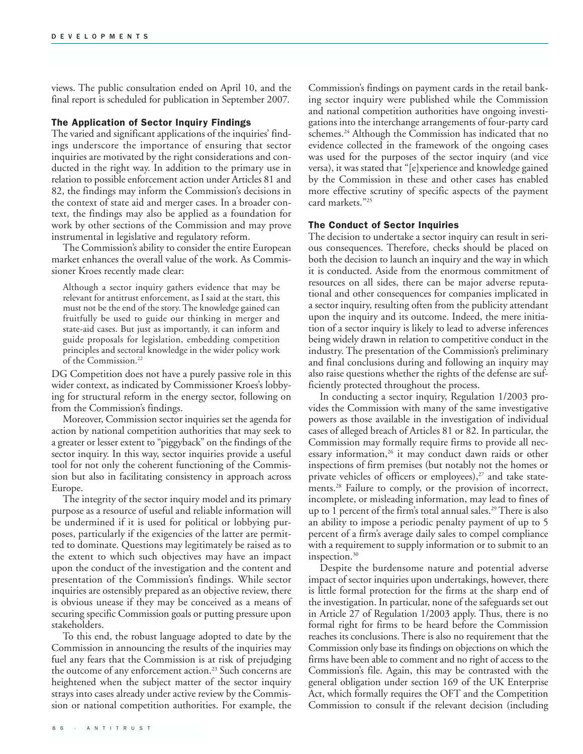views. The public consultation ended on April 10, and the final report is scheduled for publication in September 2007.

## The Application of Sector Inquiry Findings

The varied and significant applications of the inquiries' findings underscore the importance of ensuring that sector inquiries are motivated by the right considerations and conducted in the right way. In addition to the primary use in relation to possible enforcement action under Articles 81 and 82, the findings may inform the Commission's decisions in the context of state aid and merger cases. In a broader context, the findings may also be applied as a foundation for work by other sections of the Commission and may prove instrumental in legislative and regulatory reform.

The Commission's ability to consider the entire European market enhances the overall value of the work. As Commissioner Kroes recently made clear:

Although a sector inquiry gathers evidence that may be relevant for antitrust enforcement, as I said at the start, this must not be the end of the story. The knowledge gained can fruitfully be used to guide our thinking in merger and state-aid cases. But just as importantly, it can inform and guide proposals for legislation, embedding competition principles and sectoral knowledge in the wider policy work of the Commission.<sup>22</sup>

DG Competition does not have a purely passive role in this wider context, as indicated by Commissioner Kroes's lobbying for structural reform in the energy sector, following on from the Commission's findings.

Moreover, Commission sector inquiries set the agenda for action by national competition authorities that may seek to a greater or lesser extent to "piggyback" on the findings of the sector inquiry. In this way, sector inquiries provide a useful tool for not only the coherent functioning of the Commission but also in facilitating consistency in approach across Europe.

The integrity of the sector inquiry model and its primary purpose as a resource of useful and reliable information will be undermined if it is used for political or lobbying purposes, particularly if the exigencies of the latter are permitted to dominate. Questions may legitimately be raised as to the extent to which such objectives may have an impact upon the conduct of the investigation and the content and presentation of the Commission's findings. While sector inquiries are ostensibly prepared as an objective review, there is obvious unease if they may be conceived as a means of securing specific Commission goals or putting pressure upon stakeholders.

To this end, the robust language adopted to date by the Commission in announcing the results of the inquiries may fuel any fears that the Commission is at risk of prejudging the outcome of any enforcement action.<sup>23</sup> Such concerns are heightened when the subject matter of the sector inquiry strays into cases already under active review by the Commission or national competition authorities. For example, the Commission's findings on payment cards in the retail banking sector inquiry were published while the Commission and national competition authorities have ongoing investigations into the interchange arrangements of four-party card schemes.<sup>24</sup> Although the Commission has indicated that no evidence collected in the framework of the ongoing cases was used for the purposes of the sector inquiry (and vice versa), it was stated that "[e]xperience and knowledge gained by the Commission in these and other cases has enabled more effective scrutiny of specific aspects of the payment card markets."25

## The Conduct of Sector Inquiries

The decision to undertake a sector inquiry can result in serious consequences. Therefore, checks should be placed on both the decision to launch an inquiry and the way in which it is conducted. Aside from the enormous commitment of resources on all sides, there can be major adverse reputational and other consequences for companies implicated in a sector inquiry, resulting often from the publicity attendant upon the inquiry and its outcome. Indeed, the mere initiation of a sector inquiry is likely to lead to adverse inferences being widely drawn in relation to competitive conduct in the industry. The presentation of the Commission's preliminary and final conclusions during and following an inquiry may also raise questions whether the rights of the defense are sufficiently protected throughout the process.

In conducting a sector inquiry, Regulation 1/2003 provides the Commission with many of the same investigative powers as those available in the investigation of individual cases of alleged breach of Articles 81 or 82. In particular, the Commission may formally require firms to provide all necessary information, $26$  it may conduct dawn raids or other inspections of firm premises (but notably not the homes or private vehicles of officers or employees), $27$  and take statements.<sup>28</sup> Failure to comply, or the provision of incorrect, incomplete, or misleading information, may lead to fines of up to 1 percent of the firm's total annual sales.<sup>29</sup> There is also an ability to impose a periodic penalty payment of up to 5 percent of a firm's average daily sales to compel compliance with a requirement to supply information or to submit to an inspection.<sup>30</sup>

Despite the burdensome nature and potential adverse impact of sector inquiries upon undertakings, however, there is little formal protection for the firms at the sharp end of the investigation. In particular, none of the safeguards set out in Article 27 of Regulation 1/2003 apply. Thus, there is no formal right for firms to be heard before the Commission reaches its conclusions. There is also no requirement that the Commission only base its findings on objections on which the firms have been able to comment and no right of access to the Commission's file. Again, this may be contrasted with the general obligation under section 169 of the UK Enterprise Act, which formally requires the OFT and the Competition Commission to consult if the relevant decision (including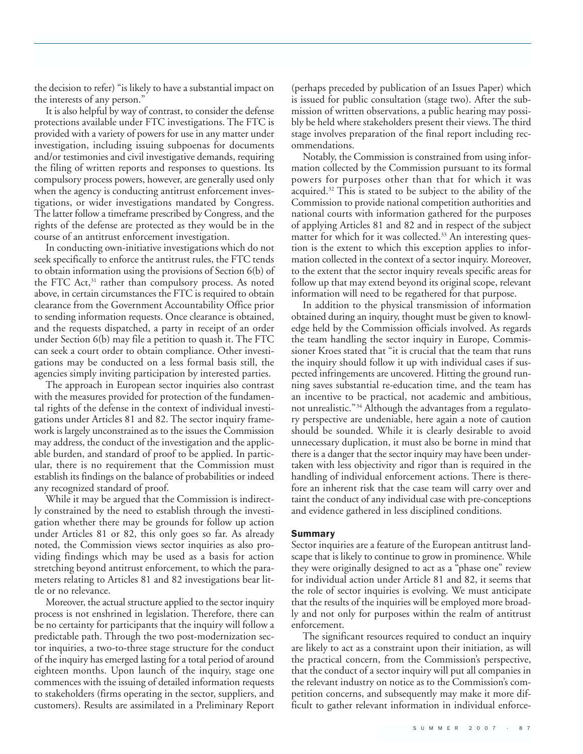the decision to refer) "is likely to have a substantial impact on the interests of any person."

It is also helpful by way of contrast, to consider the defense protections available under FTC investigations. The FTC is provided with a variety of powers for use in any matter under investigation, including issuing subpoenas for documents and/or testimonies and civil investigative demands, requiring the filing of written reports and responses to questions. Its compulsory process powers, however, are generally used only when the agency is conducting antitrust enforcement investigations, or wider investigations mandated by Congress. The latter follow a timeframe prescribed by Congress, and the rights of the defense are protected as they would be in the course of an antitrust enforcement investigation.

In conducting own-initiative investigations which do not seek specifically to enforce the antitrust rules, the FTC tends to obtain information using the provisions of Section 6(b) of the FTC Act,<sup>31</sup> rather than compulsory process. As noted above, in certain circumstances the FTC is required to obtain clearance from the Government Accountability Office prior to sending information requests. Once clearance is obtained, and the requests dispatched, a party in receipt of an order under Section 6(b) may file a petition to quash it. The FTC can seek a court order to obtain compliance. Other investigations may be conducted on a less formal basis still, the agencies simply inviting participation by interested parties.

The approach in European sector inquiries also contrast with the measures provided for protection of the fundamental rights of the defense in the context of individual investigations under Articles 81 and 82. The sector inquiry framework is largely unconstrained as to the issues the Commission may address, the conduct of the investigation and the applicable burden, and standard of proof to be applied. In particular, there is no requirement that the Commission must establish its findings on the balance of probabilities or indeed any recognized standard of proof.

While it may be argued that the Commission is indirectly constrained by the need to establish through the investigation whether there may be grounds for follow up action under Articles 81 or 82, this only goes so far. As already noted, the Commission views sector inquiries as also providing findings which may be used as a basis for action stretching beyond antitrust enforcement, to which the parameters relating to Articles 81 and 82 investigations bear little or no relevance.

Moreover, the actual structure applied to the sector inquiry process is not enshrined in legislation. Therefore, there can be no certainty for participants that the inquiry will follow a predictable path. Through the two post-modernization sector inquiries, a two-to-three stage structure for the conduct of the inquiry has emerged lasting for a total period of around eighteen months. Upon launch of the inquiry, stage one commences with the issuing of detailed information requests to stakeholders (firms operating in the sector, suppliers, and customers). Results are assimilated in a Preliminary Report

(perhaps preceded by publication of an Issues Paper) which is issued for public consultation (stage two). After the submission of written observations, a public hearing may possibly be held where stakeholders present their views. The third stage involves preparation of the final report including recommendations.

Notably, the Commission is constrained from using information collected by the Commission pursuant to its formal powers for purposes other than that for which it was acquired.<sup>32</sup> This is stated to be subject to the ability of the Commission to provide national competition authorities and national courts with information gathered for the purposes of applying Articles 81 and 82 and in respect of the subject matter for which for it was collected.<sup>33</sup> An interesting question is the extent to which this exception applies to information collected in the context of a sector inquiry. Moreover, to the extent that the sector inquiry reveals specific areas for follow up that may extend beyond its original scope, relevant information will need to be regathered for that purpose.

In addition to the physical transmission of information obtained during an inquiry, thought must be given to knowledge held by the Commission officials involved. As regards the team handling the sector inquiry in Europe, Commissioner Kroes stated that "it is crucial that the team that runs the inquiry should follow it up with individual cases if suspected infringements are uncovered. Hitting the ground running saves substantial re-education time, and the team has an incentive to be practical, not academic and ambitious, not unrealistic."34 Although the advantages from a regulatory perspective are undeniable, here again a note of caution should be sounded. While it is clearly desirable to avoid unnecessary duplication, it must also be borne in mind that there is a danger that the sector inquiry may have been undertaken with less objectivity and rigor than is required in the handling of individual enforcement actions. There is therefore an inherent risk that the case team will carry over and taint the conduct of any individual case with pre-conceptions and evidence gathered in less disciplined conditions.

## **Summary**

Sector inquiries are a feature of the European antitrust landscape that is likely to continue to grow in prominence. While they were originally designed to act as a "phase one" review for individual action under Article 81 and 82, it seems that the role of sector inquiries is evolving. We must anticipate that the results of the inquiries will be employed more broadly and not only for purposes within the realm of antitrust enforcement.

The significant resources required to conduct an inquiry are likely to act as a constraint upon their initiation, as will the practical concern, from the Commission's perspective, that the conduct of a sector inquiry will put all companies in the relevant industry on notice as to the Commission's competition concerns, and subsequently may make it more difficult to gather relevant information in individual enforce